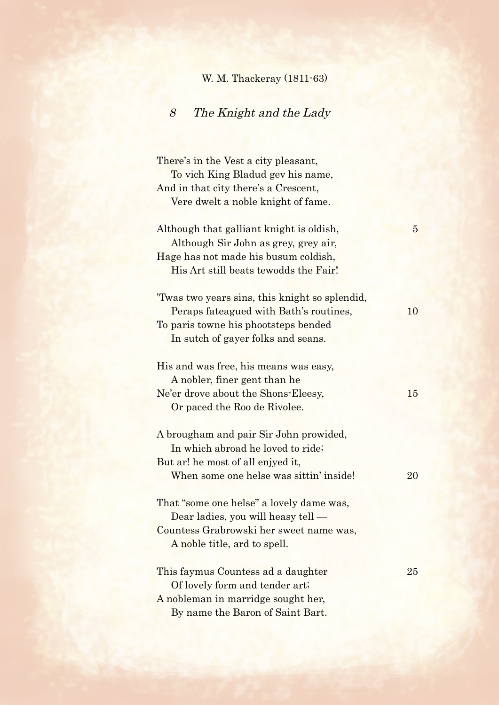## W. M. Thackeray (1811-63)

## 8 The Knight and the Lady

There's in the Vest a city pleasant, To vich King Bladud gev his name, And in that city there's a Crescent, Vere dwelt a noble knight of fame. Although that galliant knight is oldish, Although Sir John as grey, grey air, Hage has not made his busum coldish, His Art still beats tewodds the Fair! 'Twas two years sins, this knight so splendid, Peraps fateagued with Bath's routines, 2010 To paris towne his phootsteps bended In sutch of gayer folks and seans. His and was free, his means was easy, A nobler, finer gent than he Ne'er drove about the Shons-Eleesy, 15 Or paced the Roo de Rivolee. A brougham and pair Sir John prowided, In which abroad he loved to ride; But ar! he most of all enjyed it, When some one helse was sittin' inside! 20 That "some one helse" a lovely dame was, Dear ladies, you will heasy tell — Countess Grabrowski her sweet name was, A noble title, ard to spell. This faymus Countess ad a daughter 25 Of lovely form and tender art; A nobleman in marridge sought her, By name the Baron of Saint Bart.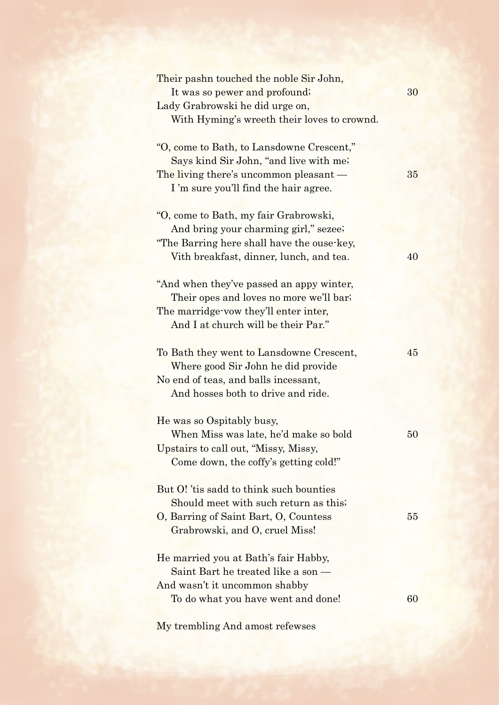| Their pashn touched the noble Sir John,<br>It was so pewer and profound;<br>Lady Grabrowski he did urge on,<br>With Hyming's wreeth their loves to crownd.              | 30     |
|-------------------------------------------------------------------------------------------------------------------------------------------------------------------------|--------|
| "O, come to Bath, to Lansdowne Crescent,"<br>Says kind Sir John, "and live with me;<br>The living there's uncommon pleasant —<br>I'm sure you'll find the hair agree.   | 35     |
| "O, come to Bath, my fair Grabrowski,<br>And bring your charming girl," sezee;<br>"The Barring here shall have the ouse-key,<br>Vith breakfast, dinner, lunch, and tea. | 40     |
| "And when they've passed an appy winter,<br>Their opes and loves no more we'll bar;<br>The marridge vow they'll enter inter,<br>And I at church will be their Par."     |        |
| To Bath they went to Lansdowne Crescent,<br>Where good Sir John he did provide<br>No end of teas, and balls incessant,<br>And hosses both to drive and ride.            | 45     |
| He was so Ospitably busy,<br>When Miss was late, he'd make so bold<br>Upstairs to call out, "Missy, Missy,<br>Come down, the coffy's getting cold!"                     | $50\,$ |
| But O! 'tis sadd to think such bounties<br>Should meet with such return as this;<br>O, Barring of Saint Bart, O, Countess<br>Grabrowski, and O, cruel Miss!             | 55     |
| He married you at Bath's fair Habby,<br>Saint Bart he treated like a son —<br>And wasn't it uncommon shabby<br>To do what you have went and done!                       | 60     |

My trembling And amost refewses